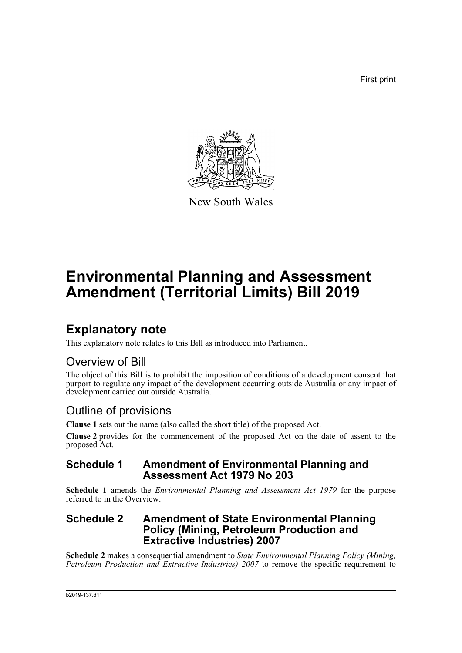First print



New South Wales

# **Environmental Planning and Assessment Amendment (Territorial Limits) Bill 2019**

## **Explanatory note**

This explanatory note relates to this Bill as introduced into Parliament.

### Overview of Bill

The object of this Bill is to prohibit the imposition of conditions of a development consent that purport to regulate any impact of the development occurring outside Australia or any impact of development carried out outside Australia.

### Outline of provisions

**Clause 1** sets out the name (also called the short title) of the proposed Act.

**Clause 2** provides for the commencement of the proposed Act on the date of assent to the proposed Act.

#### **Schedule 1 Amendment of Environmental Planning and Assessment Act 1979 No 203**

**Schedule 1** amends the *Environmental Planning and Assessment Act 1979* for the purpose referred to in the Overview.

#### **Schedule 2 Amendment of State Environmental Planning Policy (Mining, Petroleum Production and Extractive Industries) 2007**

**Schedule 2** makes a consequential amendment to *State Environmental Planning Policy (Mining, Petroleum Production and Extractive Industries) 2007* to remove the specific requirement to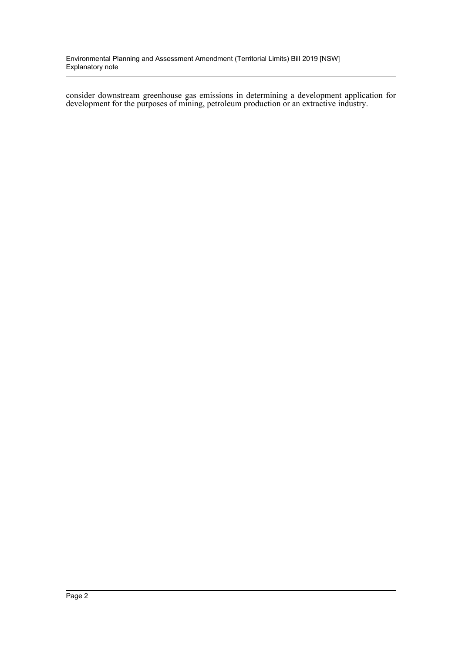Environmental Planning and Assessment Amendment (Territorial Limits) Bill 2019 [NSW] Explanatory note

consider downstream greenhouse gas emissions in determining a development application for development for the purposes of mining, petroleum production or an extractive industry.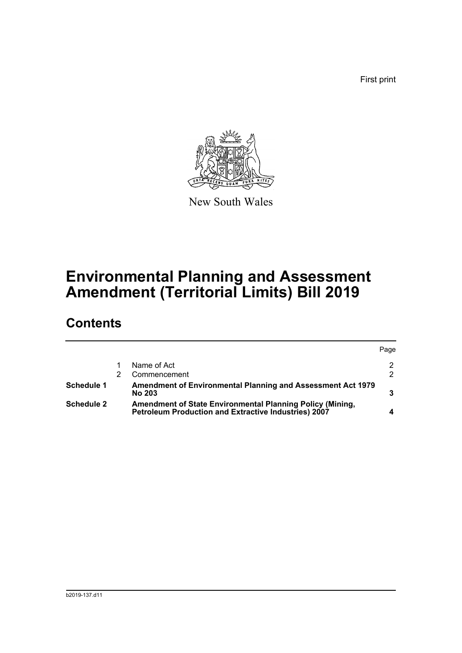First print



New South Wales

# **Environmental Planning and Assessment Amendment (Territorial Limits) Bill 2019**

## **Contents**

|                   |                                                                                                                          | Page          |
|-------------------|--------------------------------------------------------------------------------------------------------------------------|---------------|
|                   | Name of Act                                                                                                              | 2             |
|                   | Commencement                                                                                                             | $\mathcal{P}$ |
| Schedule 1        | <b>Amendment of Environmental Planning and Assessment Act 1979</b><br><b>No 203</b>                                      |               |
| <b>Schedule 2</b> | Amendment of State Environmental Planning Policy (Mining,<br><b>Petroleum Production and Extractive Industries) 2007</b> |               |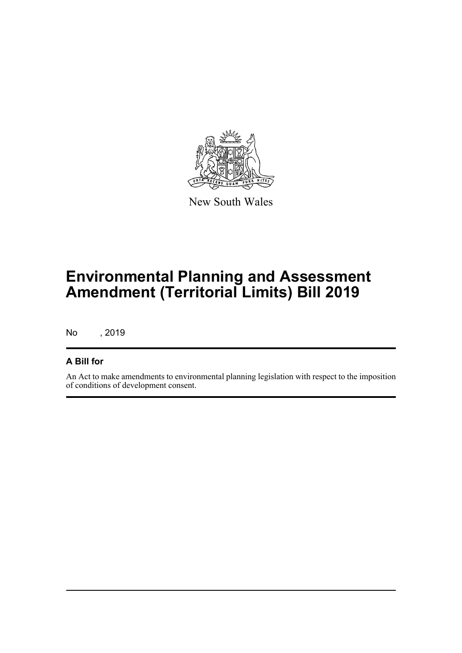

New South Wales

# **Environmental Planning and Assessment Amendment (Territorial Limits) Bill 2019**

No , 2019

#### **A Bill for**

An Act to make amendments to environmental planning legislation with respect to the imposition of conditions of development consent.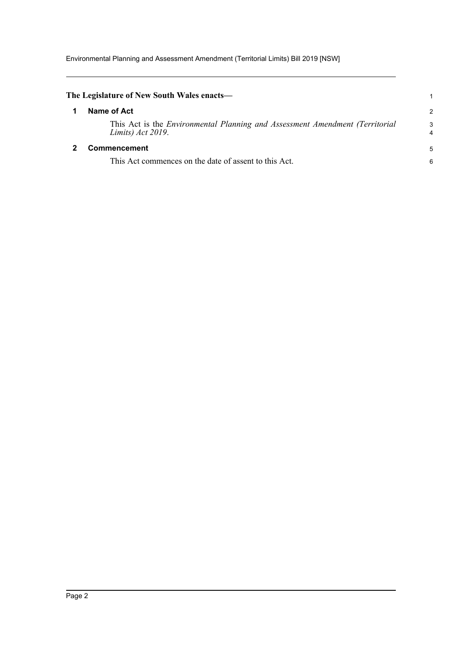Environmental Planning and Assessment Amendment (Territorial Limits) Bill 2019 [NSW]

<span id="page-4-1"></span><span id="page-4-0"></span>

| The Legislature of New South Wales enacts—                                                        |                     |
|---------------------------------------------------------------------------------------------------|---------------------|
| Name of Act                                                                                       | $\overline{2}$      |
| This Act is the Environmental Planning and Assessment Amendment (Territorial<br>Limits) Act 2019. | 3<br>$\overline{4}$ |
| <b>Commencement</b>                                                                               | 5                   |
| This Act commences on the date of assent to this Act.                                             | 6                   |
|                                                                                                   |                     |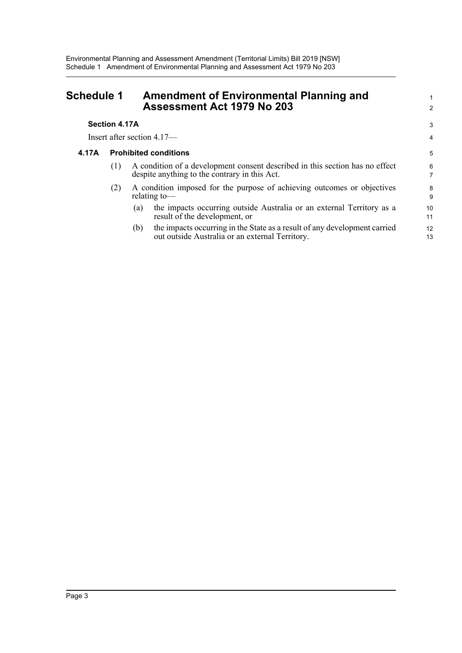<span id="page-5-0"></span>

| <b>Schedule 1</b> | <b>Amendment of Environmental Planning and</b><br><b>Assessment Act 1979 No 203</b> |
|-------------------|-------------------------------------------------------------------------------------|
|                   |                                                                                     |

#### **Section 4.17A**

Insert after section 4.17—

#### **4.17A Prohibited conditions**

- (1) A condition of a development consent described in this section has no effect despite anything to the contrary in this Act.
- (2) A condition imposed for the purpose of achieving outcomes or objectives relating to—
	- (a) the impacts occurring outside Australia or an external Territory as a result of the development, or

1 2

3 4

(b) the impacts occurring in the State as a result of any development carried out outside Australia or an external Territory.